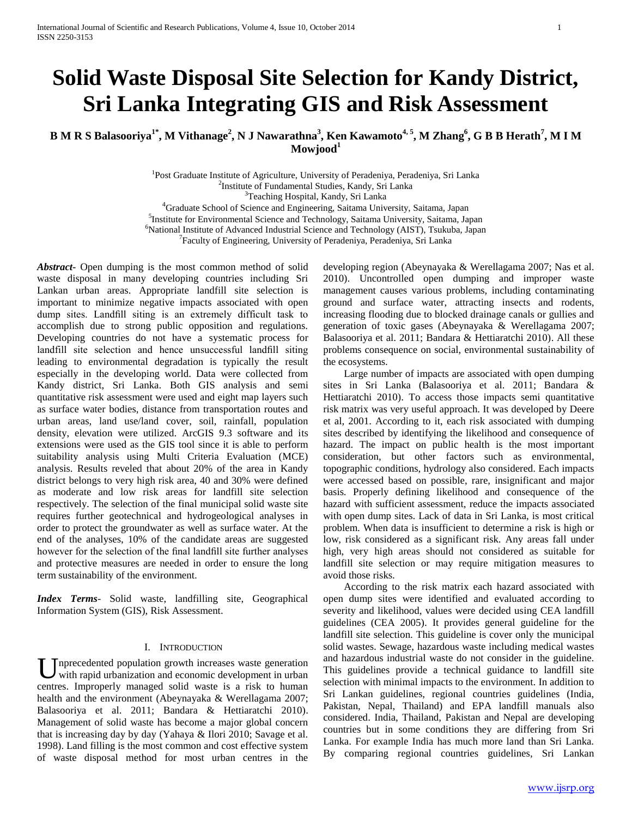# **Solid Waste Disposal Site Selection for Kandy District, Sri Lanka Integrating GIS and Risk Assessment**

**B M R S Balasooriya1\*, M Vithanage<sup>2</sup> , N J Nawarathna<sup>3</sup> , Ken Kawamoto4, 5, M Zhang<sup>6</sup> , G B B Herath<sup>7</sup> , M I M Mowjood<sup>1</sup>**

> <sup>1</sup>Post Graduate Institute of Agriculture, University of Peradeniya, Peradeniya, Sri Lanka 2 Institute of Fundamental Studies, Kandy, Sri Lanka <sup>3</sup>Teaching Hospital, Kandy, Sri Lanka <sup>4</sup>Graduate School of Science and Engineering, Saitama University, Saitama, Japan

5 Institute for Environmental Science and Technology, Saitama University, Saitama, Japan <sup>6</sup>National Institute of Advanced Industrial Science and Technology (AIST), Tsukuba, Japan

<sup>7</sup> Faculty of Engineering, University of Peradeniya, Peradeniya, Sri Lanka

*Abstract***-** Open dumping is the most common method of solid waste disposal in many developing countries including Sri Lankan urban areas. Appropriate landfill site selection is important to minimize negative impacts associated with open dump sites. Landfill siting is an extremely difficult task to accomplish due to strong public opposition and regulations. Developing countries do not have a systematic process for landfill site selection and hence unsuccessful landfill siting leading to environmental degradation is typically the result especially in the developing world. Data were collected from Kandy district, Sri Lanka. Both GIS analysis and semi quantitative risk assessment were used and eight map layers such as surface water bodies, distance from transportation routes and urban areas, land use/land cover, soil, rainfall, population density, elevation were utilized. ArcGIS 9.3 software and its extensions were used as the GIS tool since it is able to perform suitability analysis using Multi Criteria Evaluation (MCE) analysis. Results reveled that about 20% of the area in Kandy district belongs to very high risk area, 40 and 30% were defined as moderate and low risk areas for landfill site selection respectively. The selection of the final municipal solid waste site requires further geotechnical and hydrogeological analyses in order to protect the groundwater as well as surface water. At the end of the analyses, 10% of the candidate areas are suggested however for the selection of the final landfill site further analyses and protective measures are needed in order to ensure the long term sustainability of the environment.

*Index Terms*- Solid waste, landfilling site, Geographical Information System (GIS), Risk Assessment.

# I. INTRODUCTION

nprecedented population growth increases waste generation with rapid urbanization and economic development in urban U precedented population growth increases waste generation with rapid urbanization and economic development in urban centres. Improperly managed solid waste is a risk to human health and the environment (Abeynayaka & Werellagama 2007; Balasooriya et al. 2011; Bandara & Hettiaratchi 2010). Management of solid waste has become a major global concern that is increasing day by day (Yahaya & Ilori 2010; Savage et al. 1998). Land filling is the most common and cost effective system of waste disposal method for most urban centres in the

developing region (Abeynayaka & Werellagama 2007; Nas et al. 2010). Uncontrolled open dumping and improper waste management causes various problems, including contaminating ground and surface water, attracting insects and rodents, increasing flooding due to blocked drainage canals or gullies and generation of toxic gases (Abeynayaka & Werellagama 2007; Balasooriya et al. 2011; Bandara & Hettiaratchi 2010). All these problems consequence on social, environmental sustainability of the ecosystems.

 Large number of impacts are associated with open dumping sites in Sri Lanka (Balasooriya et al. 2011; Bandara & Hettiaratchi 2010). To access those impacts semi quantitative risk matrix was very useful approach. It was developed by Deere et al, 2001. According to it, each risk associated with dumping sites described by identifying the likelihood and consequence of hazard. The impact on public health is the most important consideration, but other factors such as environmental, topographic conditions, hydrology also considered. Each impacts were accessed based on possible, rare, insignificant and major basis. Properly defining likelihood and consequence of the hazard with sufficient assessment, reduce the impacts associated with open dump sites. Lack of data in Sri Lanka, is most critical problem. When data is insufficient to determine a risk is high or low, risk considered as a significant risk. Any areas fall under high, very high areas should not considered as suitable for landfill site selection or may require mitigation measures to avoid those risks.

 According to the risk matrix each hazard associated with open dump sites were identified and evaluated according to severity and likelihood, values were decided using CEA landfill guidelines (CEA 2005). It provides general guideline for the landfill site selection. This guideline is cover only the municipal solid wastes. Sewage, hazardous waste including medical wastes and hazardous industrial waste do not consider in the guideline. This guidelines provide a technical guidance to landfill site selection with minimal impacts to the environment. In addition to Sri Lankan guidelines, regional countries guidelines (India, Pakistan, Nepal, Thailand) and EPA landfill manuals also considered. India, Thailand, Pakistan and Nepal are developing countries but in some conditions they are differing from Sri Lanka. For example India has much more land than Sri Lanka. By comparing regional countries guidelines, Sri Lankan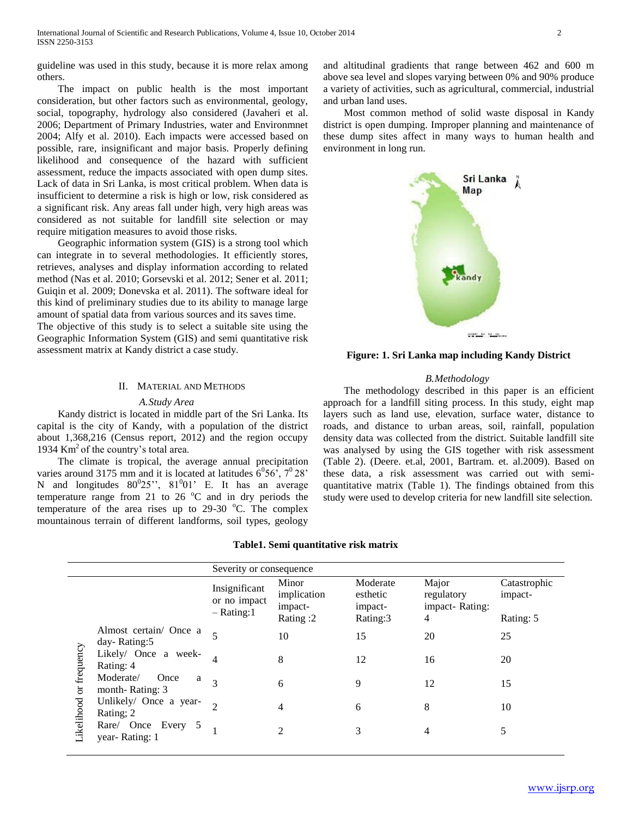guideline was used in this study, because it is more relax among others.

 The impact on public health is the most important consideration, but other factors such as environmental, geology, social, topography, hydrology also considered (Javaheri et al. 2006; Department of Primary Industries, water and Environmnet 2004; Alfy et al. 2010). Each impacts were accessed based on possible, rare, insignificant and major basis. Properly defining likelihood and consequence of the hazard with sufficient assessment, reduce the impacts associated with open dump sites. Lack of data in Sri Lanka, is most critical problem. When data is insufficient to determine a risk is high or low, risk considered as a significant risk. Any areas fall under high, very high areas was considered as not suitable for landfill site selection or may require mitigation measures to avoid those risks.

 Geographic information system (GIS) is a strong tool which can integrate in to several methodologies. It efficiently stores, retrieves, analyses and display information according to related method (Nas et al. 2010; Gorsevski et al. 2012; Sener et al. 2011; Guiqin et al. 2009; Donevska et al. 2011). The software ideal for this kind of preliminary studies due to its ability to manage large amount of spatial data from various sources and its saves time.

The objective of this study is to select a suitable site using the Geographic Information System (GIS) and semi quantitative risk assessment matrix at Kandy district a case study.

# II. MATERIAL AND METHODS

# *A.Study Area*

 Kandy district is located in middle part of the Sri Lanka. Its capital is the city of Kandy, with a population of the district about 1,368,216 (Census report, 2012) and the region occupy 1934  $\text{Km}^2$  of the country's total area.

 The climate is tropical, the average annual precipitation varies around 3175 mm and it is located at latitudes  $6^{\circ}56^{\circ}$ ,  $7^{\circ}28^{\circ}$ N and longitudes  $80^025$ ",  $81^001$ " E. It has an average temperature range from 21 to 26  $^{\circ}$ C and in dry periods the temperature of the area rises up to  $29-30$  °C. The complex mountainous terrain of different landforms, soil types, geology

and altitudinal gradients that range between 462 and 600 m above sea level and slopes varying between 0% and 90% produce a variety of activities, such as agricultural, commercial, industrial and urban land uses.

 Most common method of solid waste disposal in Kandy district is open dumping. Improper planning and maintenance of these dump sites affect in many ways to human health and environment in long run.



**Figure: 1. Sri Lanka map including Kandy District**

# *B.Methodology*

 The methodology described in this paper is an efficient approach for a landfill siting process. In this study, eight map layers such as land use, elevation, surface water, distance to roads, and distance to urban areas, soil, rainfall, population density data was collected from the district. Suitable landfill site was analysed by using the GIS together with risk assessment (Table 2). (Deere. et.al, 2001, Bartram. et. al.2009). Based on these data, a risk assessment was carried out with semiquantitative matrix (Table 1). The findings obtained from this study were used to develop criteria for new landfill site selection.

# **Table1. Semi quantitative risk matrix**

|                           |                                           | Severity or consequence                        |                                             |                                             |                                            |                                      |
|---------------------------|-------------------------------------------|------------------------------------------------|---------------------------------------------|---------------------------------------------|--------------------------------------------|--------------------------------------|
|                           |                                           | Insignificant<br>or no impact<br>$-$ Rating: 1 | Minor<br>implication<br>impact-<br>Rating:2 | Moderate<br>esthetic<br>impact-<br>Rating:3 | Major<br>regulatory<br>impact-Rating:<br>4 | Catastrophic<br>impact-<br>Rating: 5 |
| or frequency<br>ikelihood | Almost certain/ Once a<br>day-Rating:5    |                                                | 10                                          | 15                                          | 20                                         | 25                                   |
|                           | Likely/ Once a week-<br>Rating: 4         |                                                | 8                                           | 12                                          | 16                                         | 20                                   |
|                           | Moderate/<br>Once<br>a<br>month-Rating: 3 | $\mathcal{R}$                                  | 6                                           | 9                                           | 12                                         | 15                                   |
|                           | Unlikely/ Once a year-<br>Rating; 2       |                                                | 4                                           | 6                                           | 8                                          | 10                                   |
|                           | Rare/ Once Every 5<br>year-Rating: 1      |                                                | $\mathfrak{D}$                              | 3                                           | 4                                          |                                      |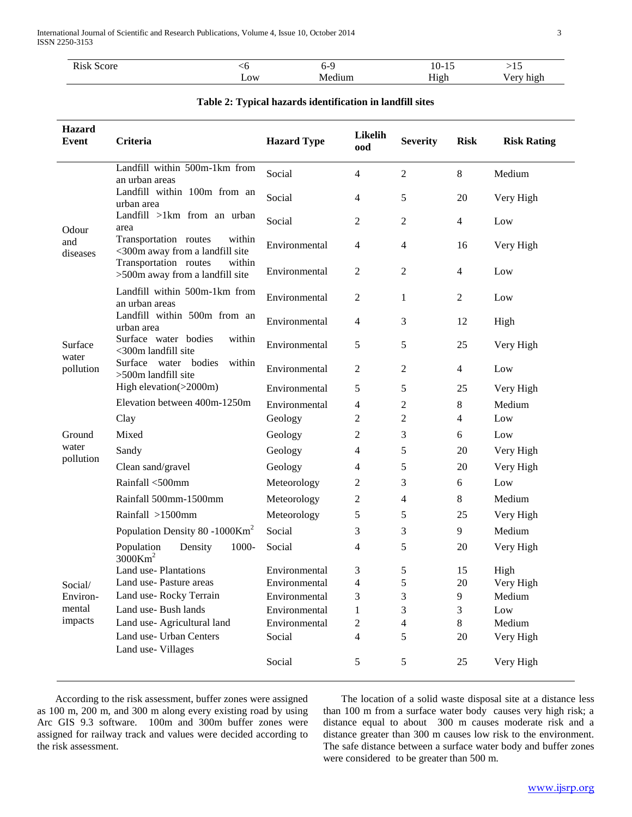| $\mathbf{r}$<br>R1 <sup>c</sup><br>score<br>эΝ<br>. | w<br>__ | n-s<br>$\sim$ | $10-7$<br>- 10<br>___<br>$\sim$ | $\cdot$ .                                       |
|-----------------------------------------------------|---------|---------------|---------------------------------|-------------------------------------------------|
|                                                     | Low     | Medium        | H <sub>1</sub> gh               | 10 <sup>1</sup><br>h10r<br>ັ<br>$\cdots$<br>. . |

| Table 2: Typical hazards identification in landfill sites |  |  |  |
|-----------------------------------------------------------|--|--|--|
|-----------------------------------------------------------|--|--|--|

| Hazard<br><b>Event</b> | Criteria                                                           | <b>Hazard Type</b> | Likelih<br>ood | <b>Severity</b>         | <b>Risk</b>    | <b>Risk Rating</b> |
|------------------------|--------------------------------------------------------------------|--------------------|----------------|-------------------------|----------------|--------------------|
|                        | Landfill within 500m-1km from<br>an urban areas                    | Social             | 4              | $\mathfrak{2}$          | $\,8\,$        | Medium             |
|                        | Landfill within 100m from an<br>urban area                         | Social             | 4              | 5                       | 20             | Very High          |
| Odour                  | Landfill >1km from an urban<br>area                                | Social             | 2              | $\overline{2}$          | $\overline{4}$ | Low                |
| and<br>diseases        | Transportation routes<br>within<br><300m away from a landfill site | Environmental      | 4              | $\overline{4}$          | 16             | Very High          |
|                        | Transportation routes<br>within<br>>500m away from a landfill site | Environmental      | $\mathfrak{2}$ | 2                       | 4              | Low                |
|                        | Landfill within 500m-1km from<br>an urban areas                    | Environmental      | $\sqrt{2}$     | 1                       | $\overline{2}$ | Low                |
|                        | Landfill within 500m from an<br>urban area                         | Environmental      | 4              | 3                       | 12             | High               |
| Surface<br>water       | Surface water bodies<br>within<br><300m landfill site              | Environmental      | $\sqrt{5}$     | 5                       | 25             | Very High          |
| pollution              | Surface water bodies<br>within<br>>500m landfill site              | Environmental      | $\sqrt{2}$     | $\overline{c}$          | $\overline{4}$ | Low                |
|                        | High elevation(>2000m)                                             | Environmental      | 5              | 5                       | 25             | Very High          |
|                        | Elevation between 400m-1250m                                       | Environmental      | 4              | 2                       | 8              | Medium             |
|                        | Clay                                                               | Geology            | $\overline{c}$ | $\overline{c}$          | $\overline{4}$ | Low                |
| Ground                 | Mixed                                                              | Geology            | 2              | 3                       | 6              | Low                |
| water                  | Sandy                                                              | Geology            | 4              | 5                       | 20             | Very High          |
| pollution              | Clean sand/gravel                                                  | Geology            | 4              | 5                       | 20             | Very High          |
|                        | Rainfall <500mm                                                    | Meteorology        | $\overline{c}$ | 3                       | $\sqrt{6}$     | Low                |
|                        | Rainfall 500mm-1500mm                                              | Meteorology        | 2              | $\overline{4}$          | 8              | Medium             |
|                        | Rainfall >1500mm                                                   | Meteorology        | 5              | 5                       | 25             | Very High          |
|                        | Population Density 80 -1000Km <sup>2</sup>                         | Social             | 3              | 3                       | 9              | Medium             |
|                        | Density<br>1000-<br>Population<br>$3000$ Km <sup>2</sup>           | Social             | 4              | 5                       | 20             | Very High          |
|                        | Land use-Plantations                                               | Environmental      | 3              | 5                       | 15             | High               |
| Social/                | Land use-Pasture areas                                             | Environmental      | 4              | 5                       | 20             | Very High          |
| Environ-               | Land use-Rocky Terrain                                             | Environmental      | 3              | 3                       | 9              | Medium             |
| mental<br>impacts      | Land use-Bush lands                                                | Environmental      | 1              | 3                       | 3              | Low                |
|                        | Land use- Agricultural land<br>Land use- Urban Centers             | Environmental      | $\overline{c}$ | $\overline{\mathbf{4}}$ | $8\,$          | Medium             |
|                        | Land use-Villages                                                  | Social             | 4              | 5                       | 20             | Very High          |
|                        |                                                                    | Social             | $\mathfrak s$  | 5                       | 25             | Very High          |

 According to the risk assessment, buffer zones were assigned as 100 m, 200 m, and 300 m along every existing road by using Arc GIS 9.3 software. 100m and 300m buffer zones were assigned for railway track and values were decided according to the risk assessment.

 The location of a solid waste disposal site at a distance less than 100 m from a surface water body causes very high risk; a distance equal to about 300 m causes moderate risk and a distance greater than 300 m causes low risk to the environment. The safe distance between a surface water body and buffer zones were considered to be greater than 500 m.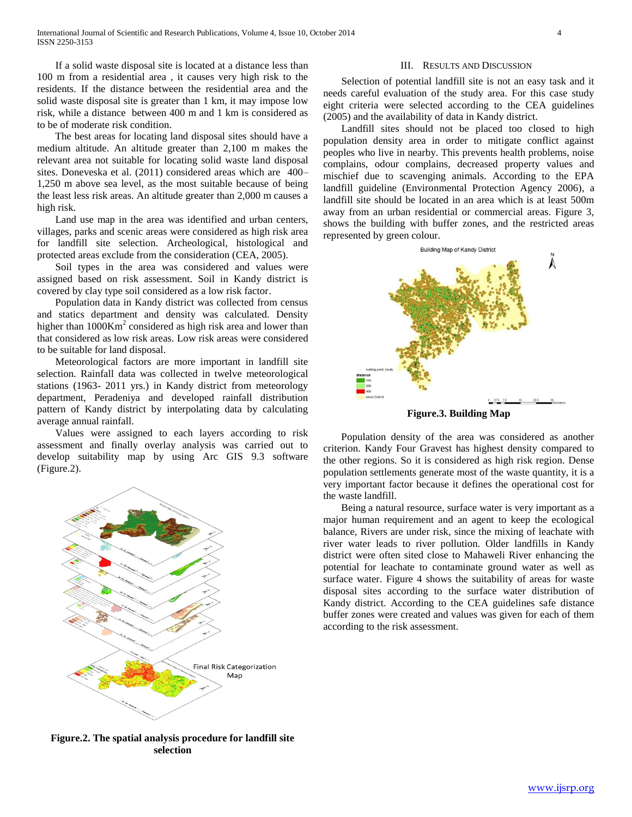If a solid waste disposal site is located at a distance less than 100 m from a residential area , it causes very high risk to the residents. If the distance between the residential area and the solid waste disposal site is greater than 1 km, it may impose low risk, while a distance between 400 m and 1 km is considered as to be of moderate risk condition.

 The best areas for locating land disposal sites should have a medium altitude. An altitude greater than 2,100 m makes the relevant area not suitable for locating solid waste land disposal sites. Doneveska et al. (2011) considered areas which are 400– 1,250 m above sea level, as the most suitable because of being the least less risk areas. An altitude greater than 2,000 m causes a high risk.

 Land use map in the area was identified and urban centers, villages, parks and scenic areas were considered as high risk area for landfill site selection. Archeological, histological and protected areas exclude from the consideration (CEA, 2005).

 Soil types in the area was considered and values were assigned based on risk assessment. Soil in Kandy district is covered by clay type soil considered as a low risk factor.

 Population data in Kandy district was collected from census and statics department and density was calculated. Density higher than  $1000$ Km<sup>2</sup> considered as high risk area and lower than that considered as low risk areas. Low risk areas were considered to be suitable for land disposal.

 Meteorological factors are more important in landfill site selection. Rainfall data was collected in twelve meteorological stations (1963- 2011 yrs.) in Kandy district from meteorology department, Peradeniya and developed rainfall distribution pattern of Kandy district by interpolating data by calculating average annual rainfall.

 Values were assigned to each layers according to risk assessment and finally overlay analysis was carried out to develop suitability map by using Arc GIS 9.3 software (Figure.2).



**Figure.2. The spatial analysis procedure for landfill site selection**

# III. RESULTS AND DISCUSSION

 Selection of potential landfill site is not an easy task and it needs careful evaluation of the study area. For this case study eight criteria were selected according to the CEA guidelines (2005) and the availability of data in Kandy district.

 Landfill sites should not be placed too closed to high population density area in order to mitigate conflict against peoples who live in nearby. This prevents health problems, noise complains, odour complains, decreased property values and mischief due to scavenging animals. According to the EPA landfill guideline (Environmental Protection Agency 2006), a landfill site should be located in an area which is at least 500m away from an urban residential or commercial areas. Figure 3, shows the building with buffer zones, and the restricted areas represented by green colour.



**Figure.3. Building Map**

 Population density of the area was considered as another criterion. Kandy Four Gravest has highest density compared to the other regions. So it is considered as high risk region. Dense population settlements generate most of the waste quantity, it is a very important factor because it defines the operational cost for the waste landfill.

 Being a natural resource, surface water is very important as a major human requirement and an agent to keep the ecological balance, Rivers are under risk, since the mixing of leachate with river water leads to river pollution. Older landfills in Kandy district were often sited close to Mahaweli River enhancing the potential for leachate to contaminate ground water as well as surface water. Figure 4 shows the suitability of areas for waste disposal sites according to the surface water distribution of Kandy district. According to the CEA guidelines safe distance buffer zones were created and values was given for each of them according to the risk assessment.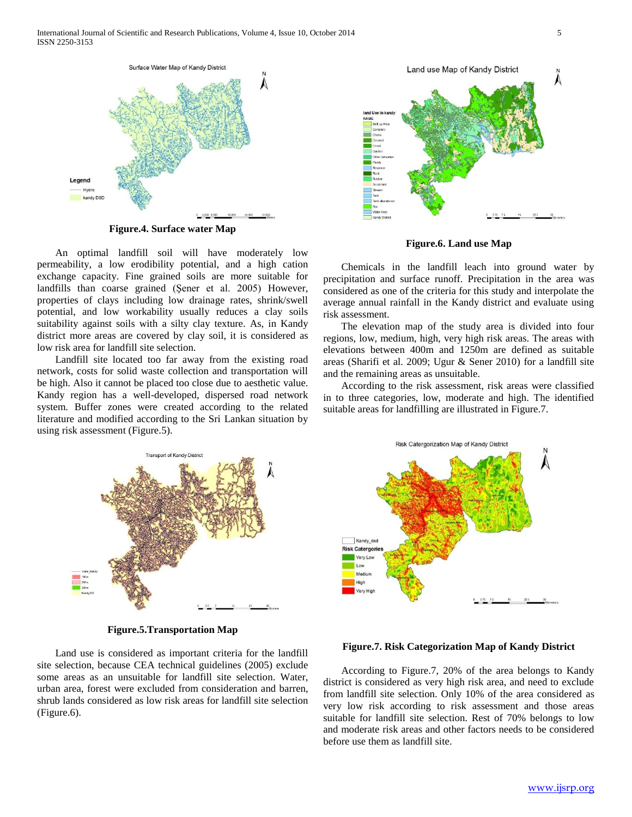

**Figure.4. Surface water Map**

 An optimal landfill soil will have moderately low permeability, a low erodibility potential, and a high cation exchange capacity. Fine grained soils are more suitable for landfills than coarse grained (Şener et al. 2005) However, properties of clays including low drainage rates, shrink/swell potential, and low workability usually reduces a clay soils suitability against soils with a silty clay texture. As, in Kandy district more areas are covered by clay soil, it is considered as low risk area for landfill site selection.

 Landfill site located too far away from the existing road network, costs for solid waste collection and transportation will be high. Also it cannot be placed too close due to aesthetic value. Kandy region has a well-developed, dispersed road network system. Buffer zones were created according to the related literature and modified according to the Sri Lankan situation by using risk assessment (Figure.5).



**Figure.6. Land use Map**

 Chemicals in the landfill leach into ground water by precipitation and surface runoff. Precipitation in the area was considered as one of the criteria for this study and interpolate the average annual rainfall in the Kandy district and evaluate using risk assessment.

 The elevation map of the study area is divided into four regions, low, medium, high, very high risk areas. The areas with elevations between 400m and 1250m are defined as suitable areas (Sharifi et al. 2009; Ugur & Sener 2010) for a landfill site and the remaining areas as unsuitable.

 According to the risk assessment, risk areas were classified in to three categories, low, moderate and high. The identified suitable areas for landfilling are illustrated in Figure.7.



**Figure.5.Transportation Map**

 Land use is considered as important criteria for the landfill site selection, because CEA technical guidelines (2005) exclude some areas as an unsuitable for landfill site selection. Water, urban area, forest were excluded from consideration and barren, shrub lands considered as low risk areas for landfill site selection (Figure.6).



# **Figure.7. Risk Categorization Map of Kandy District**

 According to Figure.7, 20% of the area belongs to Kandy district is considered as very high risk area, and need to exclude from landfill site selection. Only 10% of the area considered as very low risk according to risk assessment and those areas suitable for landfill site selection. Rest of 70% belongs to low and moderate risk areas and other factors needs to be considered before use them as landfill site.